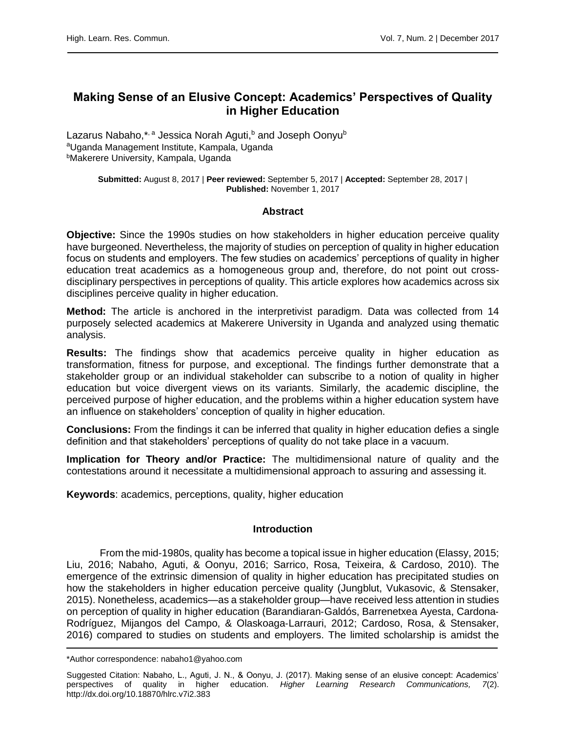# **Making Sense of an Elusive Concept: Academics' Perspectives of Quality in Higher Education**

Lazarus Nabaho,\*<sup>, a</sup> Jessica Norah Aguti,<sup>b</sup> and Joseph Oonyu<sup>b</sup> aUganda Management Institute, Kampala, Uganda <sup>b</sup>Makerere University, Kampala, Uganda

> **Submitted:** August 8, 2017 | **Peer reviewed:** September 5, 2017 | **Accepted:** September 28, 2017 | **Published:** November 1, 2017

# **Abstract**

**Objective:** Since the 1990s studies on how stakeholders in higher education perceive quality have burgeoned. Nevertheless, the majority of studies on perception of quality in higher education focus on students and employers. The few studies on academics' perceptions of quality in higher education treat academics as a homogeneous group and, therefore, do not point out crossdisciplinary perspectives in perceptions of quality. This article explores how academics across six disciplines perceive quality in higher education.

**Method:** The article is anchored in the interpretivist paradigm. Data was collected from 14 purposely selected academics at Makerere University in Uganda and analyzed using thematic analysis.

**Results:** The findings show that academics perceive quality in higher education as transformation, fitness for purpose, and exceptional. The findings further demonstrate that a stakeholder group or an individual stakeholder can subscribe to a notion of quality in higher education but voice divergent views on its variants. Similarly, the academic discipline, the perceived purpose of higher education, and the problems within a higher education system have an influence on stakeholders' conception of quality in higher education.

**Conclusions:** From the findings it can be inferred that quality in higher education defies a single definition and that stakeholders' perceptions of quality do not take place in a vacuum.

**Implication for Theory and/or Practice:** The multidimensional nature of quality and the contestations around it necessitate a multidimensional approach to assuring and assessing it.

**Keywords**: academics, perceptions, quality, higher education

# **Introduction**

From the mid-1980s, quality has become a topical issue in higher education (Elassy, 2015; Liu, 2016; Nabaho, Aguti, & Oonyu, 2016; Sarrico, Rosa, Teixeira, & Cardoso, 2010). The emergence of the extrinsic dimension of quality in higher education has precipitated studies on how the stakeholders in higher education perceive quality (Jungblut, Vukasovic, & Stensaker, 2015). Nonetheless, academics—as a stakeholder group—have received less attention in studies on perception of quality in higher education (Barandiaran‐Galdós, Barrenetxea Ayesta, Cardona‐ Rodríguez, Mijangos del Campo, & Olaskoaga‐Larrauri, 2012; Cardoso, Rosa, & Stensaker, 2016) compared to studies on students and employers. The limited scholarship is amidst the

<sup>\*</sup>Author correspondence: nabaho1@yahoo.com

Suggested Citation: Nabaho, L., Aguti, J. N., & Oonyu, J. (2017). Making sense of an elusive concept: Academics' perspectives of quality in higher education. *Higher Learning Research Communications, 7*(2). http://dx.doi.org/10.18870/hlrc.v7i2.383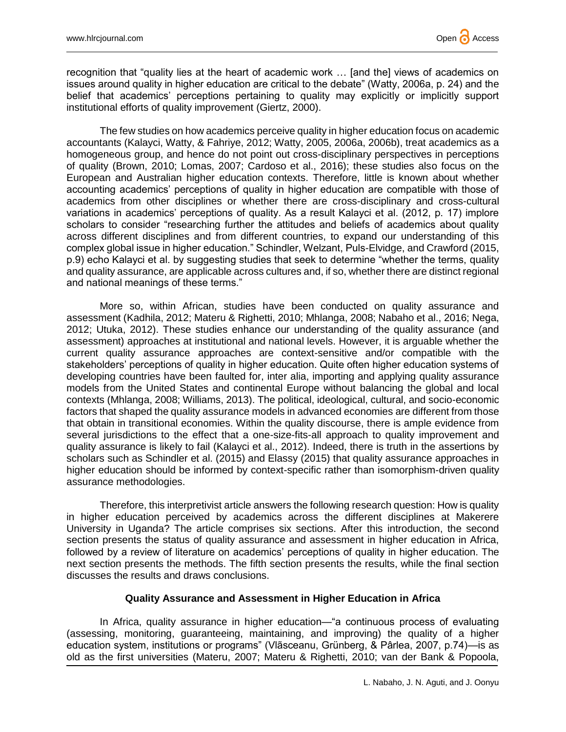recognition that "quality lies at the heart of academic work … [and the] views of academics on issues around quality in higher education are critical to the debate" (Watty, 2006a, p. 24) and the belief that academics' perceptions pertaining to quality may explicitly or implicitly support institutional efforts of quality improvement (Giertz, 2000).

The few studies on how academics perceive quality in higher education focus on academic accountants (Kalayci, Watty, & Fahriye, 2012; Watty, 2005, 2006a, 2006b), treat academics as a homogeneous group, and hence do not point out cross-disciplinary perspectives in perceptions of quality (Brown, 2010; Lomas, 2007; Cardoso et al., 2016); these studies also focus on the European and Australian higher education contexts. Therefore, little is known about whether accounting academics' perceptions of quality in higher education are compatible with those of academics from other disciplines or whether there are cross-disciplinary and cross-cultural variations in academics' perceptions of quality. As a result Kalayci et al. (2012, p. 17) implore scholars to consider "researching further the attitudes and beliefs of academics about quality across different disciplines and from different countries, to expand our understanding of this complex global issue in higher education." Schindler, Welzant, Puls-Elvidge, and Crawford (2015, p.9) echo Kalayci et al. by suggesting studies that seek to determine "whether the terms, quality and quality assurance, are applicable across cultures and, if so, whether there are distinct regional and national meanings of these terms."

More so, within African, studies have been conducted on quality assurance and assessment (Kadhila, 2012; Materu & Righetti, 2010; Mhlanga, 2008; Nabaho et al., 2016; Nega, 2012; Utuka, 2012). These studies enhance our understanding of the quality assurance (and assessment) approaches at institutional and national levels. However, it is arguable whether the current quality assurance approaches are context-sensitive and/or compatible with the stakeholders' perceptions of quality in higher education. Quite often higher education systems of developing countries have been faulted for, inter alia, importing and applying quality assurance models from the United States and continental Europe without balancing the global and local contexts (Mhlanga, 2008; Williams, 2013). The political, ideological, cultural, and socio-economic factors that shaped the quality assurance models in advanced economies are different from those that obtain in transitional economies. Within the quality discourse, there is ample evidence from several jurisdictions to the effect that a one-size-fits-all approach to quality improvement and quality assurance is likely to fail (Kalayci et al., 2012). Indeed, there is truth in the assertions by scholars such as Schindler et al. (2015) and Elassy (2015) that quality assurance approaches in higher education should be informed by context-specific rather than isomorphism-driven quality assurance methodologies.

Therefore, this interpretivist article answers the following research question: How is quality in higher education perceived by academics across the different disciplines at Makerere University in Uganda? The article comprises six sections. After this introduction, the second section presents the status of quality assurance and assessment in higher education in Africa, followed by a review of literature on academics' perceptions of quality in higher education. The next section presents the methods. The fifth section presents the results, while the final section discusses the results and draws conclusions.

# **Quality Assurance and Assessment in Higher Education in Africa**

In Africa, quality assurance in higher education—"a continuous process of evaluating (assessing, monitoring, guaranteeing, maintaining, and improving) the quality of a higher education system, institutions or programs" (Vlãsceanu, Grünberg, & Pârlea, 2007, p.74)—is as old as the first universities (Materu, 2007; Materu & Righetti, 2010; van der Bank & Popoola,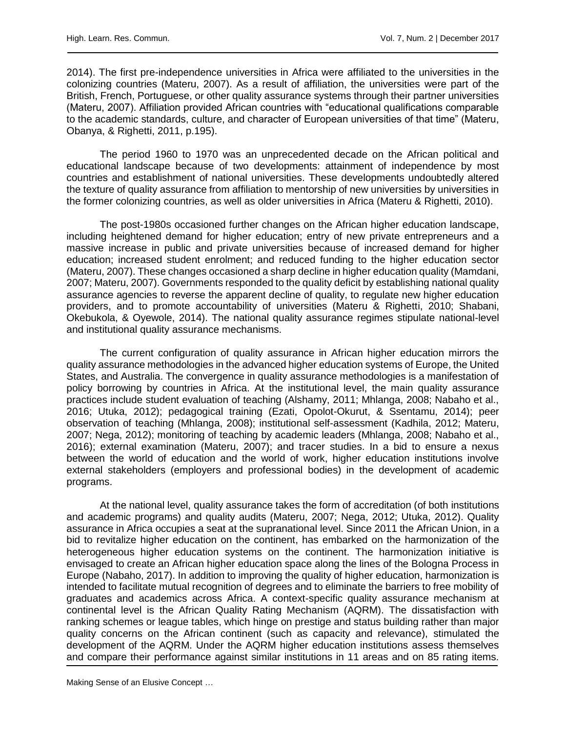2014). The first pre-independence universities in Africa were affiliated to the universities in the colonizing countries (Materu, 2007). As a result of affiliation, the universities were part of the British, French, Portuguese, or other quality assurance systems through their partner universities (Materu, 2007). Affiliation provided African countries with "educational qualifications comparable to the academic standards, culture, and character of European universities of that time" (Materu, Obanya, & Righetti, 2011, p.195).

The period 1960 to 1970 was an unprecedented decade on the African political and educational landscape because of two developments: attainment of independence by most countries and establishment of national universities. These developments undoubtedly altered the texture of quality assurance from affiliation to mentorship of new universities by universities in the former colonizing countries, as well as older universities in Africa (Materu & Righetti, 2010).

The post-1980s occasioned further changes on the African higher education landscape, including heightened demand for higher education; entry of new private entrepreneurs and a massive increase in public and private universities because of increased demand for higher education; increased student enrolment; and reduced funding to the higher education sector (Materu, 2007). These changes occasioned a sharp decline in higher education quality (Mamdani, 2007; Materu, 2007). Governments responded to the quality deficit by establishing national quality assurance agencies to reverse the apparent decline of quality, to regulate new higher education providers, and to promote accountability of universities (Materu & Righetti, 2010; Shabani, Okebukola, & Oyewole, 2014). The national quality assurance regimes stipulate national-level and institutional quality assurance mechanisms.

The current configuration of quality assurance in African higher education mirrors the quality assurance methodologies in the advanced higher education systems of Europe, the United States, and Australia. The convergence in quality assurance methodologies is a manifestation of policy borrowing by countries in Africa. At the institutional level, the main quality assurance practices include student evaluation of teaching (Alshamy, 2011; Mhlanga, 2008; Nabaho et al., 2016; Utuka, 2012); pedagogical training (Ezati, Opolot-Okurut, & Ssentamu, 2014); peer observation of teaching (Mhlanga, 2008); institutional self-assessment (Kadhila, 2012; Materu, 2007; Nega, 2012); monitoring of teaching by academic leaders (Mhlanga, 2008; Nabaho et al., 2016); external examination (Materu, 2007); and tracer studies. In a bid to ensure a nexus between the world of education and the world of work, higher education institutions involve external stakeholders (employers and professional bodies) in the development of academic programs.

At the national level, quality assurance takes the form of accreditation (of both institutions and academic programs) and quality audits (Materu, 2007; Nega, 2012; Utuka, 2012). Quality assurance in Africa occupies a seat at the supranational level. Since 2011 the African Union, in a bid to revitalize higher education on the continent, has embarked on the harmonization of the heterogeneous higher education systems on the continent. The harmonization initiative is envisaged to create an African higher education space along the lines of the Bologna Process in Europe (Nabaho, 2017). In addition to improving the quality of higher education, harmonization is intended to facilitate mutual recognition of degrees and to eliminate the barriers to free mobility of graduates and academics across Africa. A context-specific quality assurance mechanism at continental level is the African Quality Rating Mechanism (AQRM). The dissatisfaction with ranking schemes or league tables, which hinge on prestige and status building rather than major quality concerns on the African continent (such as capacity and relevance), stimulated the development of the AQRM. Under the AQRM higher education institutions assess themselves and compare their performance against similar institutions in 11 areas and on 85 rating items.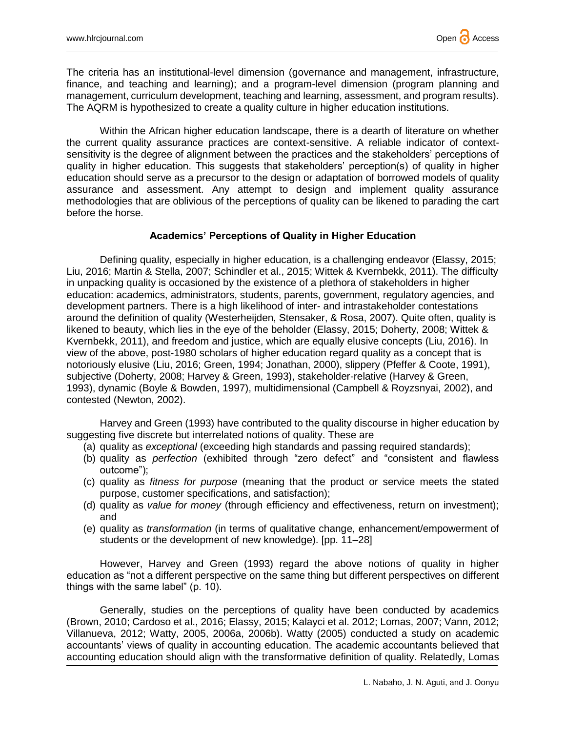

The criteria has an institutional-level dimension (governance and management, infrastructure, finance, and teaching and learning); and a program-level dimension (program planning and management, curriculum development, teaching and learning, assessment, and program results). The AQRM is hypothesized to create a quality culture in higher education institutions.

Within the African higher education landscape, there is a dearth of literature on whether the current quality assurance practices are context-sensitive. A reliable indicator of contextsensitivity is the degree of alignment between the practices and the stakeholders' perceptions of quality in higher education. This suggests that stakeholders' perception(s) of quality in higher education should serve as a precursor to the design or adaptation of borrowed models of quality assurance and assessment. Any attempt to design and implement quality assurance methodologies that are oblivious of the perceptions of quality can be likened to parading the cart before the horse.

# **Academics' Perceptions of Quality in Higher Education**

Defining quality, especially in higher education, is a challenging endeavor (Elassy, 2015; Liu, 2016; Martin & Stella, 2007; Schindler et al., 2015; Wittek & Kvernbekk, 2011). The difficulty in unpacking quality is occasioned by the existence of a plethora of stakeholders in higher education: academics, administrators, students, parents, government, regulatory agencies, and development partners. There is a high likelihood of inter- and intrastakeholder contestations around the definition of quality (Westerheijden, Stensaker, & Rosa, 2007). Quite often, quality is likened to beauty, which lies in the eye of the beholder (Elassy, 2015; Doherty, 2008; Wittek & Kvernbekk, 2011), and freedom and justice, which are equally elusive concepts (Liu, 2016). In view of the above, post-1980 scholars of higher education regard quality as a concept that is notoriously elusive (Liu, 2016; Green, 1994; Jonathan, 2000), slippery (Pfeffer & Coote, 1991), subjective (Doherty, 2008; Harvey & Green, 1993), stakeholder-relative (Harvey & Green, 1993), dynamic (Boyle & Bowden, 1997), multidimensional (Campbell & Royzsnyai, 2002), and contested (Newton, 2002).

Harvey and Green (1993) have contributed to the quality discourse in higher education by suggesting five discrete but interrelated notions of quality. These are

- (a) quality as *exceptional* (exceeding high standards and passing required standards);
- (b) quality as *perfection* (exhibited through "zero defect" and "consistent and flawless outcome");
- (c) quality as *fitness for purpose* (meaning that the product or service meets the stated purpose, customer specifications, and satisfaction);
- (d) quality as *value for money* (through efficiency and effectiveness, return on investment); and
- (e) quality as *transformation* (in terms of qualitative change, enhancement/empowerment of students or the development of new knowledge). [pp. 11–28]

However, Harvey and Green (1993) regard the above notions of quality in higher education as "not a different perspective on the same thing but different perspectives on different things with the same label" (p. 10).

Generally, studies on the perceptions of quality have been conducted by academics (Brown, 2010; Cardoso et al., 2016; Elassy, 2015; Kalayci et al. 2012; Lomas, 2007; Vann, 2012; Villanueva, 2012; Watty, 2005, 2006a, 2006b). Watty (2005) conducted a study on academic accountants' views of quality in accounting education. The academic accountants believed that accounting education should align with the transformative definition of quality. Relatedly, Lomas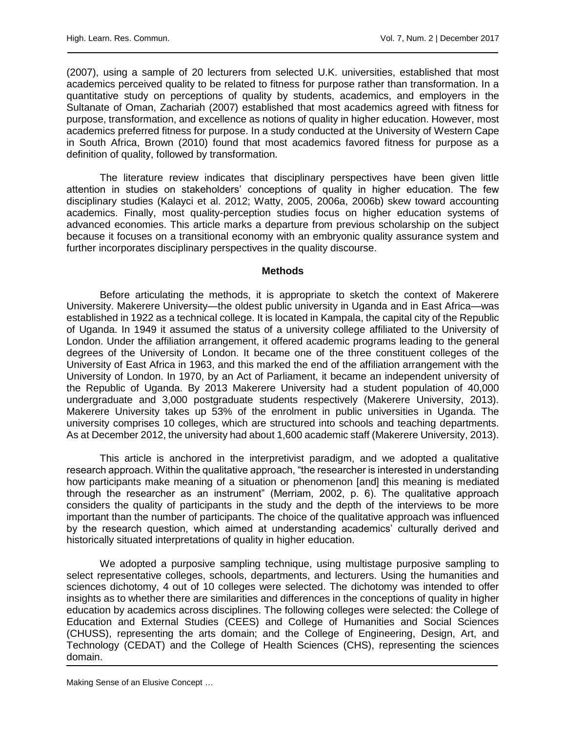(2007), using a sample of 20 lecturers from selected U.K. universities, established that most academics perceived quality to be related to fitness for purpose rather than transformation. In a quantitative study on perceptions of quality by students, academics, and employers in the Sultanate of Oman, Zachariah (2007) established that most academics agreed with fitness for purpose, transformation, and excellence as notions of quality in higher education. However, most academics preferred fitness for purpose. In a study conducted at the University of Western Cape in South Africa, Brown (2010) found that most academics favored fitness for purpose as a definition of quality, followed by transformation.

The literature review indicates that disciplinary perspectives have been given little attention in studies on stakeholders' conceptions of quality in higher education. The few disciplinary studies (Kalayci et al. 2012; Watty, 2005, 2006a, 2006b) skew toward accounting academics. Finally, most quality-perception studies focus on higher education systems of advanced economies. This article marks a departure from previous scholarship on the subject because it focuses on a transitional economy with an embryonic quality assurance system and further incorporates disciplinary perspectives in the quality discourse.

#### **Methods**

Before articulating the methods, it is appropriate to sketch the context of Makerere University. Makerere University—the oldest public university in Uganda and in East Africa—was established in 1922 as a technical college. It is located in Kampala, the capital city of the Republic of Uganda. In 1949 it assumed the status of a university college affiliated to the University of London. Under the affiliation arrangement, it offered academic programs leading to the general degrees of the University of London. It became one of the three constituent colleges of the University of East Africa in 1963, and this marked the end of the affiliation arrangement with the University of London. In 1970, by an Act of Parliament, it became an independent university of the Republic of Uganda. By 2013 Makerere University had a student population of 40,000 undergraduate and 3,000 postgraduate students respectively (Makerere University, 2013). Makerere University takes up 53% of the enrolment in public universities in Uganda. The university comprises 10 colleges, which are structured into schools and teaching departments. As at December 2012, the university had about 1,600 academic staff (Makerere University, 2013).

This article is anchored in the interpretivist paradigm, and we adopted a qualitative research approach. Within the qualitative approach, "the researcher is interested in understanding how participants make meaning of a situation or phenomenon [and] this meaning is mediated through the researcher as an instrument" (Merriam, 2002, p. 6). The qualitative approach considers the quality of participants in the study and the depth of the interviews to be more important than the number of participants. The choice of the qualitative approach was influenced by the research question, which aimed at understanding academics' culturally derived and historically situated interpretations of quality in higher education.

We adopted a purposive sampling technique, using multistage purposive sampling to select representative colleges, schools, departments, and lecturers. Using the humanities and sciences dichotomy, 4 out of 10 colleges were selected. The dichotomy was intended to offer insights as to whether there are similarities and differences in the conceptions of quality in higher education by academics across disciplines. The following colleges were selected: the College of Education and External Studies (CEES) and College of Humanities and Social Sciences (CHUSS), representing the arts domain; and the College of Engineering, Design, Art, and Technology (CEDAT) and the College of Health Sciences (CHS), representing the sciences domain.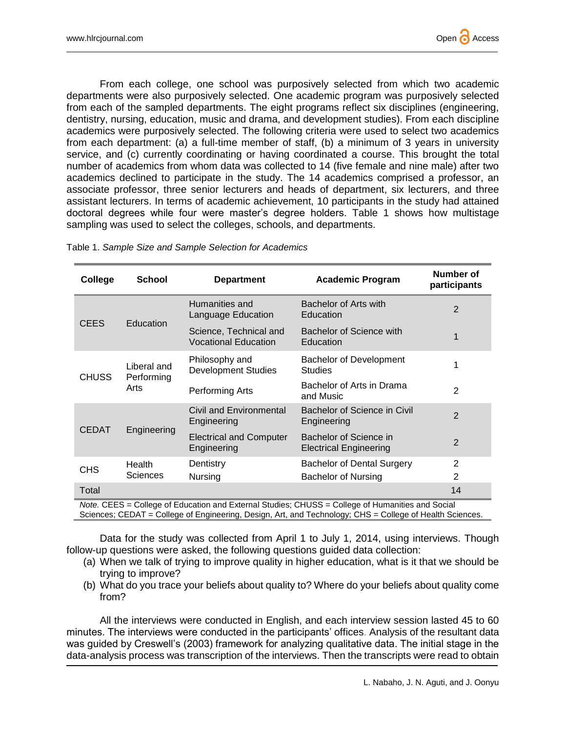From each college, one school was purposively selected from which two academic departments were also purposively selected. One academic program was purposively selected from each of the sampled departments. The eight programs reflect six disciplines (engineering, dentistry, nursing, education, music and drama, and development studies). From each discipline academics were purposively selected. The following criteria were used to select two academics from each department: (a) a full-time member of staff, (b) a minimum of 3 years in university service, and (c) currently coordinating or having coordinated a course. This brought the total number of academics from whom data was collected to 14 (five female and nine male) after two academics declined to participate in the study. The 14 academics comprised a professor, an associate professor, three senior lecturers and heads of department, six lecturers, and three assistant lecturers. In terms of academic achievement, 10 participants in the study had attained doctoral degrees while four were master's degree holders. Table 1 shows how multistage sampling was used to select the colleges, schools, and departments.

| College                 | <b>School</b>                     | <b>Department</b>                                                                                              | <b>Academic Program</b>                                                   | Number of<br>participants |
|-------------------------|-----------------------------------|----------------------------------------------------------------------------------------------------------------|---------------------------------------------------------------------------|---------------------------|
| <b>CEES</b>             | Education                         | Humanities and<br>Language Education                                                                           | Bachelor of Arts with<br>Education                                        | 2                         |
|                         |                                   | Science, Technical and<br><b>Vocational Education</b>                                                          | Bachelor of Science with<br>Education                                     |                           |
| <b>CHUSS</b>            | Liberal and<br>Performing<br>Arts | Philosophy and<br><b>Development Studies</b>                                                                   | <b>Bachelor of Development</b><br><b>Studies</b>                          | 1                         |
|                         |                                   | Performing Arts                                                                                                | Bachelor of Arts in Drama<br>and Music                                    | 2                         |
| <b>CEDAT</b>            | Engineering                       | Civil and Environmental<br>Engineering                                                                         | Bachelor of Science in Civil<br>Engineering                               | $\overline{2}$            |
|                         |                                   | <b>Electrical and Computer</b><br>Engineering                                                                  | Bachelor of Science in<br><b>Electrical Engineering</b>                   | $\overline{2}$            |
| CH <sub>S</sub>         | Health<br><b>Sciences</b>         | Dentistry                                                                                                      | <b>Bachelor of Dental Surgery</b>                                         | 2                         |
|                         |                                   | <b>Nursing</b>                                                                                                 | <b>Bachelor of Nursing</b>                                                | $\overline{2}$            |
| Total<br>$\overline{a}$ | $\sim$ - $\mu$ -                  | $\mathcal{L}$ . The discussion of $\mathcal{L}$<br>$\sim$ at $\Gamma$ and $\sim$ $\sim$<br>$-104.11 - 2011100$ | $\bigcap$ of $\bigcup$ or $\bigcap$ of $\bigcap$ $\bigcap$ $\bigcap$<br>. | 14                        |

Table 1. *Sample Size and Sample Selection for Academics*

*Note.* CEES = College of Education and External Studies; CHUSS = College of Humanities and Social Sciences; CEDAT = College of Engineering, Design, Art, and Technology; CHS = College of Health Sciences.

Data for the study was collected from April 1 to July 1, 2014, using interviews. Though follow-up questions were asked, the following questions guided data collection:

- (a) When we talk of trying to improve quality in higher education, what is it that we should be trying to improve?
- (b) What do you trace your beliefs about quality to? Where do your beliefs about quality come from?

All the interviews were conducted in English, and each interview session lasted 45 to 60 minutes. The interviews were conducted in the participants' offices. Analysis of the resultant data was guided by Creswell's (2003) framework for analyzing qualitative data. The initial stage in the data-analysis process was transcription of the interviews. Then the transcripts were read to obtain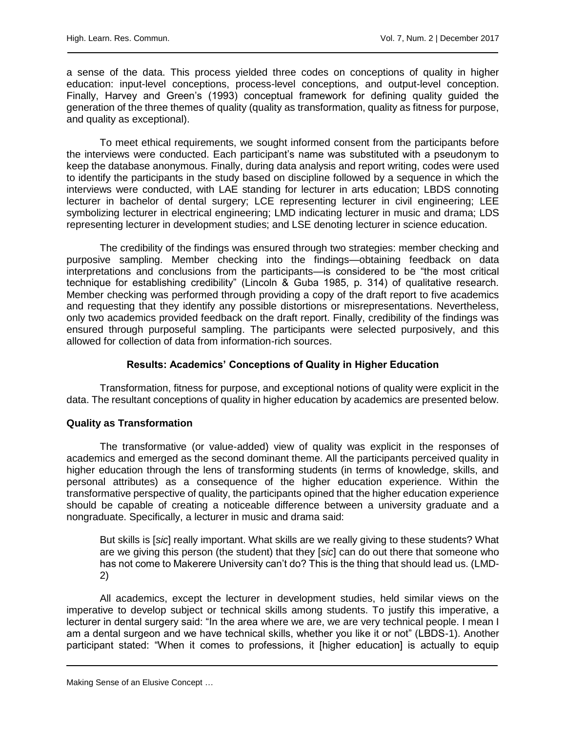a sense of the data. This process yielded three codes on conceptions of quality in higher education: input-level conceptions, process-level conceptions, and output-level conception. Finally, Harvey and Green's (1993) conceptual framework for defining quality guided the generation of the three themes of quality (quality as transformation, quality as fitness for purpose, and quality as exceptional).

To meet ethical requirements, we sought informed consent from the participants before the interviews were conducted. Each participant's name was substituted with a pseudonym to keep the database anonymous. Finally, during data analysis and report writing, codes were used to identify the participants in the study based on discipline followed by a sequence in which the interviews were conducted, with LAE standing for lecturer in arts education; LBDS connoting lecturer in bachelor of dental surgery; LCE representing lecturer in civil engineering; LEE symbolizing lecturer in electrical engineering; LMD indicating lecturer in music and drama; LDS representing lecturer in development studies; and LSE denoting lecturer in science education.

The credibility of the findings was ensured through two strategies: member checking and purposive sampling. Member checking into the findings—obtaining feedback on data interpretations and conclusions from the participants—is considered to be "the most critical technique for establishing credibility" (Lincoln & Guba 1985, p. 314) of qualitative research. Member checking was performed through providing a copy of the draft report to five academics and requesting that they identify any possible distortions or misrepresentations. Nevertheless, only two academics provided feedback on the draft report. Finally, credibility of the findings was ensured through purposeful sampling. The participants were selected purposively, and this allowed for collection of data from information-rich sources.

# **Results: Academics' Conceptions of Quality in Higher Education**

Transformation, fitness for purpose, and exceptional notions of quality were explicit in the data. The resultant conceptions of quality in higher education by academics are presented below.

# **Quality as Transformation**

The transformative (or value-added) view of quality was explicit in the responses of academics and emerged as the second dominant theme. All the participants perceived quality in higher education through the lens of transforming students (in terms of knowledge, skills, and personal attributes) as a consequence of the higher education experience. Within the transformative perspective of quality, the participants opined that the higher education experience should be capable of creating a noticeable difference between a university graduate and a nongraduate. Specifically, a lecturer in music and drama said:

But skills is [*sic*] really important. What skills are we really giving to these students? What are we giving this person (the student) that they [*sic*] can do out there that someone who has not come to Makerere University can't do? This is the thing that should lead us. (LMD-2)

All academics, except the lecturer in development studies, held similar views on the imperative to develop subject or technical skills among students. To justify this imperative, a lecturer in dental surgery said: "In the area where we are, we are very technical people. I mean I am a dental surgeon and we have technical skills, whether you like it or not" (LBDS-1). Another participant stated: "When it comes to professions, it [higher education] is actually to equip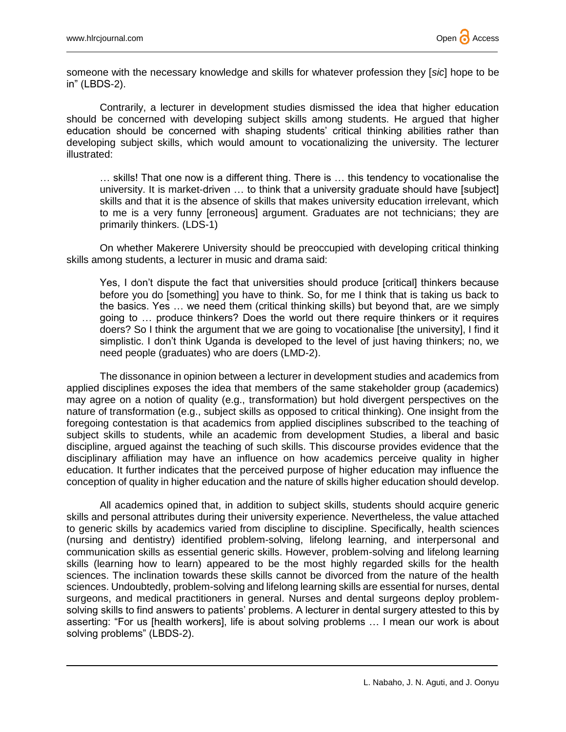someone with the necessary knowledge and skills for whatever profession they [*sic*] hope to be in" (LBDS-2).

Contrarily, a lecturer in development studies dismissed the idea that higher education should be concerned with developing subject skills among students. He argued that higher education should be concerned with shaping students' critical thinking abilities rather than developing subject skills, which would amount to vocationalizing the university. The lecturer illustrated:

… skills! That one now is a different thing. There is … this tendency to vocationalise the university. It is market-driven … to think that a university graduate should have [subject] skills and that it is the absence of skills that makes university education irrelevant, which to me is a very funny [erroneous] argument. Graduates are not technicians; they are primarily thinkers. (LDS-1)

On whether Makerere University should be preoccupied with developing critical thinking skills among students, a lecturer in music and drama said:

Yes, I don't dispute the fact that universities should produce [critical] thinkers because before you do [something] you have to think. So, for me I think that is taking us back to the basics. Yes … we need them (critical thinking skills) but beyond that, are we simply going to … produce thinkers? Does the world out there require thinkers or it requires doers? So I think the argument that we are going to vocationalise [the university], I find it simplistic. I don't think Uganda is developed to the level of just having thinkers; no, we need people (graduates) who are doers (LMD-2).

The dissonance in opinion between a lecturer in development studies and academics from applied disciplines exposes the idea that members of the same stakeholder group (academics) may agree on a notion of quality (e.g., transformation) but hold divergent perspectives on the nature of transformation (e.g., subject skills as opposed to critical thinking). One insight from the foregoing contestation is that academics from applied disciplines subscribed to the teaching of subject skills to students, while an academic from development Studies, a liberal and basic discipline, argued against the teaching of such skills. This discourse provides evidence that the disciplinary affiliation may have an influence on how academics perceive quality in higher education. It further indicates that the perceived purpose of higher education may influence the conception of quality in higher education and the nature of skills higher education should develop.

All academics opined that, in addition to subject skills, students should acquire generic skills and personal attributes during their university experience. Nevertheless, the value attached to generic skills by academics varied from discipline to discipline. Specifically, health sciences (nursing and dentistry) identified problem-solving, lifelong learning, and interpersonal and communication skills as essential generic skills. However, problem-solving and lifelong learning skills (learning how to learn) appeared to be the most highly regarded skills for the health sciences. The inclination towards these skills cannot be divorced from the nature of the health sciences. Undoubtedly, problem-solving and lifelong learning skills are essential for nurses, dental surgeons, and medical practitioners in general. Nurses and dental surgeons deploy problemsolving skills to find answers to patients' problems. A lecturer in dental surgery attested to this by asserting: "For us [health workers], life is about solving problems … I mean our work is about solving problems" (LBDS-2).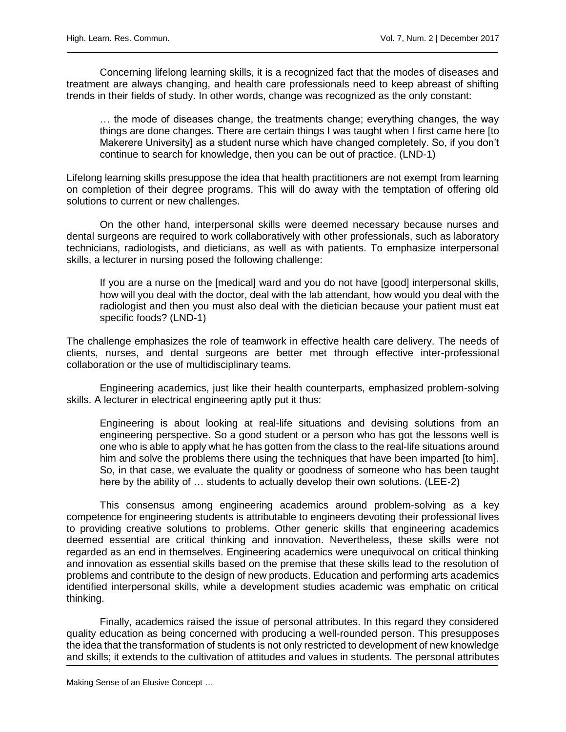Concerning lifelong learning skills, it is a recognized fact that the modes of diseases and treatment are always changing, and health care professionals need to keep abreast of shifting trends in their fields of study. In other words, change was recognized as the only constant:

… the mode of diseases change, the treatments change; everything changes, the way things are done changes. There are certain things I was taught when I first came here [to Makerere University] as a student nurse which have changed completely. So, if you don't continue to search for knowledge, then you can be out of practice. (LND-1)

Lifelong learning skills presuppose the idea that health practitioners are not exempt from learning on completion of their degree programs. This will do away with the temptation of offering old solutions to current or new challenges.

On the other hand, interpersonal skills were deemed necessary because nurses and dental surgeons are required to work collaboratively with other professionals, such as laboratory technicians, radiologists, and dieticians, as well as with patients. To emphasize interpersonal skills, a lecturer in nursing posed the following challenge:

If you are a nurse on the [medical] ward and you do not have [good] interpersonal skills, how will you deal with the doctor, deal with the lab attendant, how would you deal with the radiologist and then you must also deal with the dietician because your patient must eat specific foods? (LND-1)

The challenge emphasizes the role of teamwork in effective health care delivery. The needs of clients, nurses, and dental surgeons are better met through effective inter-professional collaboration or the use of multidisciplinary teams.

Engineering academics, just like their health counterparts, emphasized problem-solving skills. A lecturer in electrical engineering aptly put it thus:

Engineering is about looking at real-life situations and devising solutions from an engineering perspective. So a good student or a person who has got the lessons well is one who is able to apply what he has gotten from the class to the real-life situations around him and solve the problems there using the techniques that have been imparted [to him]. So, in that case, we evaluate the quality or goodness of someone who has been taught here by the ability of … students to actually develop their own solutions. (LEE-2)

This consensus among engineering academics around problem-solving as a key competence for engineering students is attributable to engineers devoting their professional lives to providing creative solutions to problems. Other generic skills that engineering academics deemed essential are critical thinking and innovation. Nevertheless, these skills were not regarded as an end in themselves. Engineering academics were unequivocal on critical thinking and innovation as essential skills based on the premise that these skills lead to the resolution of problems and contribute to the design of new products. Education and performing arts academics identified interpersonal skills, while a development studies academic was emphatic on critical thinking.

Finally, academics raised the issue of personal attributes. In this regard they considered quality education as being concerned with producing a well-rounded person. This presupposes the idea that the transformation of students is not only restricted to development of new knowledge and skills; it extends to the cultivation of attitudes and values in students. The personal attributes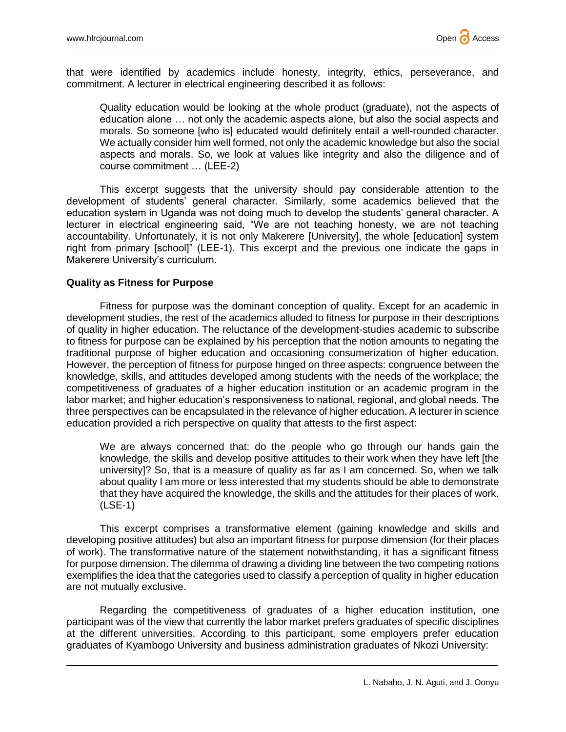

that were identified by academics include honesty, integrity, ethics, perseverance, and commitment. A lecturer in electrical engineering described it as follows:

Quality education would be looking at the whole product (graduate), not the aspects of education alone … not only the academic aspects alone, but also the social aspects and morals. So someone [who is] educated would definitely entail a well-rounded character. We actually consider him well formed, not only the academic knowledge but also the social aspects and morals. So, we look at values like integrity and also the diligence and of course commitment … (LEE-2)

This excerpt suggests that the university should pay considerable attention to the development of students' general character. Similarly, some academics believed that the education system in Uganda was not doing much to develop the students' general character. A lecturer in electrical engineering said, "We are not teaching honesty, we are not teaching accountability. Unfortunately, it is not only Makerere [University], the whole [education] system right from primary [school]" (LEE-1). This excerpt and the previous one indicate the gaps in Makerere University's curriculum.

#### **Quality as Fitness for Purpose**

Fitness for purpose was the dominant conception of quality. Except for an academic in development studies, the rest of the academics alluded to fitness for purpose in their descriptions of quality in higher education. The reluctance of the development-studies academic to subscribe to fitness for purpose can be explained by his perception that the notion amounts to negating the traditional purpose of higher education and occasioning consumerization of higher education. However, the perception of fitness for purpose hinged on three aspects: congruence between the knowledge, skills, and attitudes developed among students with the needs of the workplace; the competitiveness of graduates of a higher education institution or an academic program in the labor market; and higher education's responsiveness to national, regional, and global needs. The three perspectives can be encapsulated in the relevance of higher education. A lecturer in science education provided a rich perspective on quality that attests to the first aspect:

We are always concerned that: do the people who go through our hands gain the knowledge, the skills and develop positive attitudes to their work when they have left [the university]? So, that is a measure of quality as far as I am concerned. So, when we talk about quality I am more or less interested that my students should be able to demonstrate that they have acquired the knowledge, the skills and the attitudes for their places of work. (LSE-1)

This excerpt comprises a transformative element (gaining knowledge and skills and developing positive attitudes) but also an important fitness for purpose dimension (for their places of work). The transformative nature of the statement notwithstanding, it has a significant fitness for purpose dimension. The dilemma of drawing a dividing line between the two competing notions exemplifies the idea that the categories used to classify a perception of quality in higher education are not mutually exclusive.

Regarding the competitiveness of graduates of a higher education institution, one participant was of the view that currently the labor market prefers graduates of specific disciplines at the different universities. According to this participant, some employers prefer education graduates of Kyambogo University and business administration graduates of Nkozi University: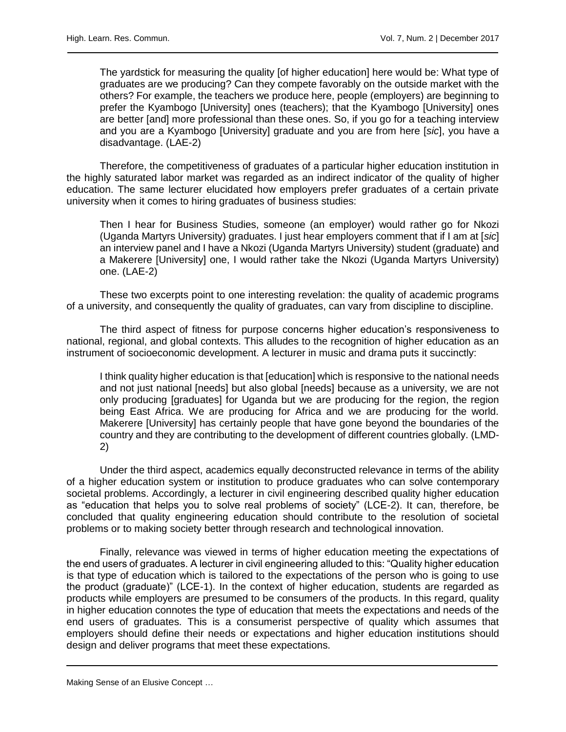The yardstick for measuring the quality [of higher education] here would be: What type of graduates are we producing? Can they compete favorably on the outside market with the others? For example, the teachers we produce here, people (employers) are beginning to prefer the Kyambogo [University] ones (teachers); that the Kyambogo [University] ones are better [and] more professional than these ones. So, if you go for a teaching interview and you are a Kyambogo [University] graduate and you are from here [*sic*], you have a disadvantage. (LAE-2)

Therefore, the competitiveness of graduates of a particular higher education institution in the highly saturated labor market was regarded as an indirect indicator of the quality of higher education. The same lecturer elucidated how employers prefer graduates of a certain private university when it comes to hiring graduates of business studies:

Then I hear for Business Studies, someone (an employer) would rather go for Nkozi (Uganda Martyrs University) graduates. I just hear employers comment that if I am at [*sic*] an interview panel and I have a Nkozi (Uganda Martyrs University) student (graduate) and a Makerere [University] one, I would rather take the Nkozi (Uganda Martyrs University) one. (LAE-2)

These two excerpts point to one interesting revelation: the quality of academic programs of a university, and consequently the quality of graduates, can vary from discipline to discipline.

The third aspect of fitness for purpose concerns higher education's responsiveness to national, regional, and global contexts. This alludes to the recognition of higher education as an instrument of socioeconomic development. A lecturer in music and drama puts it succinctly:

I think quality higher education is that [education] which is responsive to the national needs and not just national [needs] but also global [needs] because as a university, we are not only producing [graduates] for Uganda but we are producing for the region, the region being East Africa. We are producing for Africa and we are producing for the world. Makerere [University] has certainly people that have gone beyond the boundaries of the country and they are contributing to the development of different countries globally. (LMD-2)

Under the third aspect, academics equally deconstructed relevance in terms of the ability of a higher education system or institution to produce graduates who can solve contemporary societal problems. Accordingly, a lecturer in civil engineering described quality higher education as "education that helps you to solve real problems of society" (LCE-2). It can, therefore, be concluded that quality engineering education should contribute to the resolution of societal problems or to making society better through research and technological innovation.

Finally, relevance was viewed in terms of higher education meeting the expectations of the end users of graduates. A lecturer in civil engineering alluded to this: "Quality higher education is that type of education which is tailored to the expectations of the person who is going to use the product (graduate)" (LCE-1). In the context of higher education, students are regarded as products while employers are presumed to be consumers of the products. In this regard, quality in higher education connotes the type of education that meets the expectations and needs of the end users of graduates. This is a consumerist perspective of quality which assumes that employers should define their needs or expectations and higher education institutions should design and deliver programs that meet these expectations.

Making Sense of an Elusive Concept …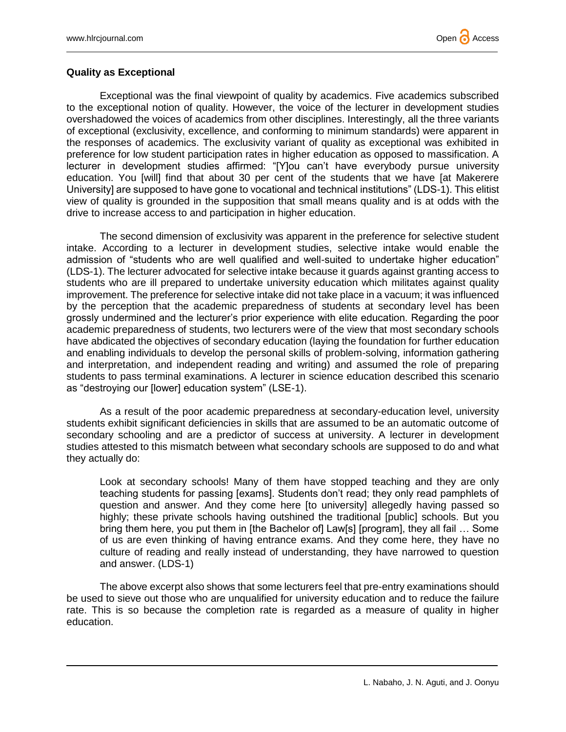

#### **Quality as Exceptional**

Exceptional was the final viewpoint of quality by academics. Five academics subscribed to the exceptional notion of quality. However, the voice of the lecturer in development studies overshadowed the voices of academics from other disciplines. Interestingly, all the three variants of exceptional (exclusivity, excellence, and conforming to minimum standards) were apparent in the responses of academics. The exclusivity variant of quality as exceptional was exhibited in preference for low student participation rates in higher education as opposed to massification. A lecturer in development studies affirmed: "[Y]ou can't have everybody pursue university education. You [will] find that about 30 per cent of the students that we have [at Makerere University] are supposed to have gone to vocational and technical institutions" (LDS-1). This elitist view of quality is grounded in the supposition that small means quality and is at odds with the drive to increase access to and participation in higher education.

The second dimension of exclusivity was apparent in the preference for selective student intake. According to a lecturer in development studies, selective intake would enable the admission of "students who are well qualified and well-suited to undertake higher education" (LDS-1). The lecturer advocated for selective intake because it guards against granting access to students who are ill prepared to undertake university education which militates against quality improvement. The preference for selective intake did not take place in a vacuum; it was influenced by the perception that the academic preparedness of students at secondary level has been grossly undermined and the lecturer's prior experience with elite education. Regarding the poor academic preparedness of students, two lecturers were of the view that most secondary schools have abdicated the objectives of secondary education (laying the foundation for further education and enabling individuals to develop the personal skills of problem-solving, information gathering and interpretation, and independent reading and writing) and assumed the role of preparing students to pass terminal examinations. A lecturer in science education described this scenario as "destroying our [lower] education system" (LSE-1).

As a result of the poor academic preparedness at secondary-education level, university students exhibit significant deficiencies in skills that are assumed to be an automatic outcome of secondary schooling and are a predictor of success at university. A lecturer in development studies attested to this mismatch between what secondary schools are supposed to do and what they actually do:

Look at secondary schools! Many of them have stopped teaching and they are only teaching students for passing [exams]. Students don't read; they only read pamphlets of question and answer. And they come here [to university] allegedly having passed so highly; these private schools having outshined the traditional [public] schools. But you bring them here, you put them in [the Bachelor of] Law[s] [program], they all fail ... Some of us are even thinking of having entrance exams. And they come here, they have no culture of reading and really instead of understanding, they have narrowed to question and answer. (LDS-1)

The above excerpt also shows that some lecturers feel that pre-entry examinations should be used to sieve out those who are unqualified for university education and to reduce the failure rate. This is so because the completion rate is regarded as a measure of quality in higher education.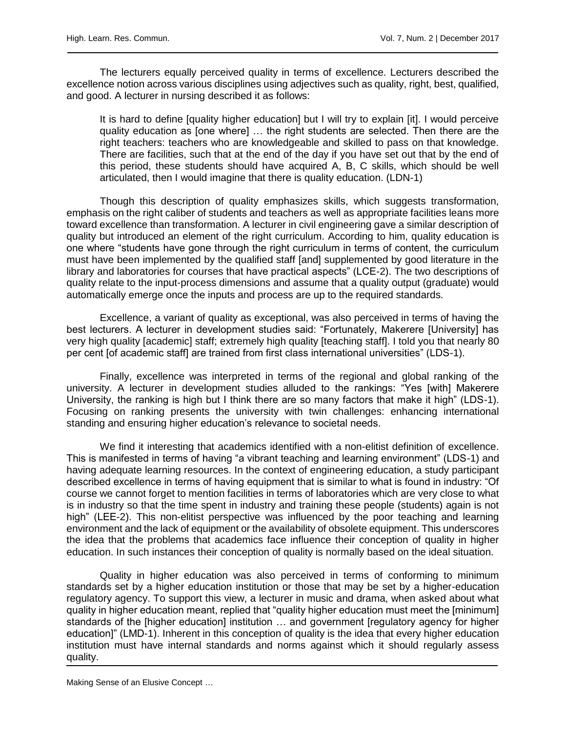The lecturers equally perceived quality in terms of excellence. Lecturers described the excellence notion across various disciplines using adjectives such as quality, right, best, qualified, and good. A lecturer in nursing described it as follows:

It is hard to define [quality higher education] but I will try to explain [it]. I would perceive quality education as [one where] … the right students are selected. Then there are the right teachers: teachers who are knowledgeable and skilled to pass on that knowledge. There are facilities, such that at the end of the day if you have set out that by the end of this period, these students should have acquired A, B, C skills, which should be well articulated, then I would imagine that there is quality education. (LDN-1)

Though this description of quality emphasizes skills, which suggests transformation, emphasis on the right caliber of students and teachers as well as appropriate facilities leans more toward excellence than transformation. A lecturer in civil engineering gave a similar description of quality but introduced an element of the right curriculum. According to him, quality education is one where "students have gone through the right curriculum in terms of content, the curriculum must have been implemented by the qualified staff [and] supplemented by good literature in the library and laboratories for courses that have practical aspects" (LCE-2). The two descriptions of quality relate to the input-process dimensions and assume that a quality output (graduate) would automatically emerge once the inputs and process are up to the required standards.

Excellence, a variant of quality as exceptional, was also perceived in terms of having the best lecturers. A lecturer in development studies said: "Fortunately, Makerere [University] has very high quality [academic] staff; extremely high quality [teaching staff]. I told you that nearly 80 per cent [of academic staff] are trained from first class international universities" (LDS-1).

Finally, excellence was interpreted in terms of the regional and global ranking of the university. A lecturer in development studies alluded to the rankings: "Yes [with] Makerere University, the ranking is high but I think there are so many factors that make it high" (LDS-1). Focusing on ranking presents the university with twin challenges: enhancing international standing and ensuring higher education's relevance to societal needs.

We find it interesting that academics identified with a non-elitist definition of excellence. This is manifested in terms of having "a vibrant teaching and learning environment" (LDS-1) and having adequate learning resources. In the context of engineering education, a study participant described excellence in terms of having equipment that is similar to what is found in industry: "Of course we cannot forget to mention facilities in terms of laboratories which are very close to what is in industry so that the time spent in industry and training these people (students) again is not high" (LEE-2). This non-elitist perspective was influenced by the poor teaching and learning environment and the lack of equipment or the availability of obsolete equipment. This underscores the idea that the problems that academics face influence their conception of quality in higher education. In such instances their conception of quality is normally based on the ideal situation.

Quality in higher education was also perceived in terms of conforming to minimum standards set by a higher education institution or those that may be set by a higher-education regulatory agency. To support this view, a lecturer in music and drama, when asked about what quality in higher education meant, replied that "quality higher education must meet the [minimum] standards of the [higher education] institution … and government [regulatory agency for higher education]" (LMD-1). Inherent in this conception of quality is the idea that every higher education institution must have internal standards and norms against which it should regularly assess quality.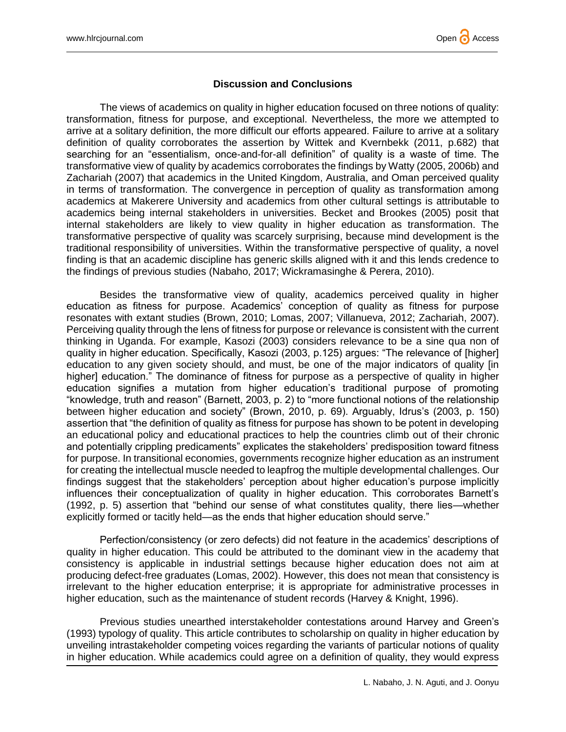

### **Discussion and Conclusions**

The views of academics on quality in higher education focused on three notions of quality: transformation, fitness for purpose, and exceptional. Nevertheless, the more we attempted to arrive at a solitary definition, the more difficult our efforts appeared. Failure to arrive at a solitary definition of quality corroborates the assertion by Wittek and Kvernbekk (2011, p.682) that searching for an "essentialism, once-and-for-all definition" of quality is a waste of time. The transformative view of quality by academics corroborates the findings by Watty (2005, 2006b) and Zachariah (2007) that academics in the United Kingdom, Australia, and Oman perceived quality in terms of transformation. The convergence in perception of quality as transformation among academics at Makerere University and academics from other cultural settings is attributable to academics being internal stakeholders in universities. Becket and Brookes (2005) posit that internal stakeholders are likely to view quality in higher education as transformation. The transformative perspective of quality was scarcely surprising, because mind development is the traditional responsibility of universities. Within the transformative perspective of quality, a novel finding is that an academic discipline has generic skills aligned with it and this lends credence to the findings of previous studies (Nabaho, 2017; Wickramasinghe & Perera, 2010).

Besides the transformative view of quality, academics perceived quality in higher education as fitness for purpose. Academics' conception of quality as fitness for purpose resonates with extant studies (Brown, 2010; Lomas, 2007; Villanueva, 2012; Zachariah, 2007). Perceiving quality through the lens of fitness for purpose or relevance is consistent with the current thinking in Uganda. For example, Kasozi (2003) considers relevance to be a sine qua non of quality in higher education. Specifically, Kasozi (2003, p.125) argues: "The relevance of [higher] education to any given society should, and must, be one of the major indicators of quality [in higher] education." The dominance of fitness for purpose as a perspective of quality in higher education signifies a mutation from higher education's traditional purpose of promoting "knowledge, truth and reason" (Barnett, 2003, p. 2) to "more functional notions of the relationship between higher education and society" (Brown, 2010, p. 69). Arguably, Idrus's (2003, p. 150) assertion that "the definition of quality as fitness for purpose has shown to be potent in developing an educational policy and educational practices to help the countries climb out of their chronic and potentially crippling predicaments" explicates the stakeholders' predisposition toward fitness for purpose. In transitional economies, governments recognize higher education as an instrument for creating the intellectual muscle needed to leapfrog the multiple developmental challenges. Our findings suggest that the stakeholders' perception about higher education's purpose implicitly influences their conceptualization of quality in higher education. This corroborates Barnett's (1992, p. 5) assertion that "behind our sense of what constitutes quality, there lies—whether explicitly formed or tacitly held—as the ends that higher education should serve."

Perfection/consistency (or zero defects) did not feature in the academics' descriptions of quality in higher education. This could be attributed to the dominant view in the academy that consistency is applicable in industrial settings because higher education does not aim at producing defect-free graduates (Lomas, 2002). However, this does not mean that consistency is irrelevant to the higher education enterprise; it is appropriate for administrative processes in higher education, such as the maintenance of student records (Harvey & Knight, 1996).

Previous studies unearthed interstakeholder contestations around Harvey and Green's (1993) typology of quality. This article contributes to scholarship on quality in higher education by unveiling intrastakeholder competing voices regarding the variants of particular notions of quality in higher education. While academics could agree on a definition of quality, they would express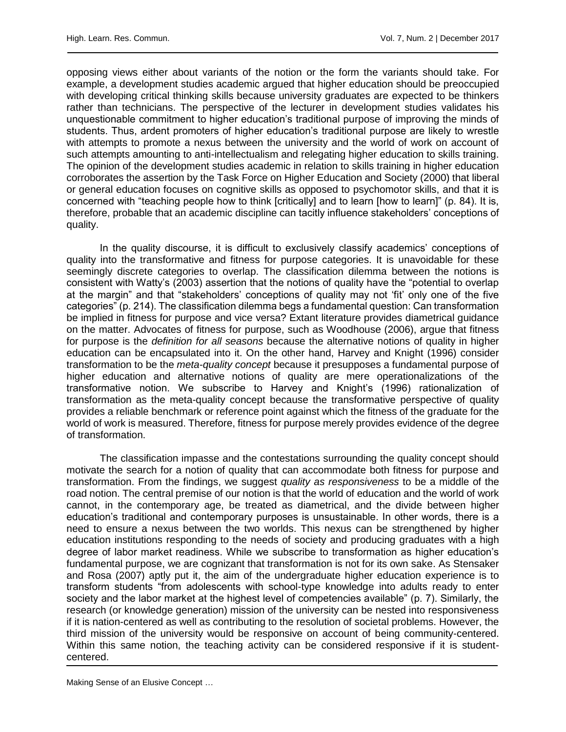opposing views either about variants of the notion or the form the variants should take. For example, a development studies academic argued that higher education should be preoccupied with developing critical thinking skills because university graduates are expected to be thinkers rather than technicians. The perspective of the lecturer in development studies validates his unquestionable commitment to higher education's traditional purpose of improving the minds of students. Thus, ardent promoters of higher education's traditional purpose are likely to wrestle with attempts to promote a nexus between the university and the world of work on account of such attempts amounting to anti-intellectualism and relegating higher education to skills training. The opinion of the development studies academic in relation to skills training in higher education corroborates the assertion by the Task Force on Higher Education and Society (2000) that liberal or general education focuses on cognitive skills as opposed to psychomotor skills, and that it is concerned with "teaching people how to think [critically] and to learn [how to learn]" (p. 84). It is, therefore, probable that an academic discipline can tacitly influence stakeholders' conceptions of quality.

In the quality discourse, it is difficult to exclusively classify academics' conceptions of quality into the transformative and fitness for purpose categories. It is unavoidable for these seemingly discrete categories to overlap. The classification dilemma between the notions is consistent with Watty's (2003) assertion that the notions of quality have the "potential to overlap at the margin" and that "stakeholders' conceptions of quality may not 'fit' only one of the five categories" (p. 214). The classification dilemma begs a fundamental question: Can transformation be implied in fitness for purpose and vice versa? Extant literature provides diametrical guidance on the matter. Advocates of fitness for purpose, such as Woodhouse (2006), argue that fitness for purpose is the *definition for all seasons* because the alternative notions of quality in higher education can be encapsulated into it. On the other hand, Harvey and Knight (1996) consider transformation to be the *meta-quality concept* because it presupposes a fundamental purpose of higher education and alternative notions of quality are mere operationalizations of the transformative notion. We subscribe to Harvey and Knight's (1996) rationalization of transformation as the meta-quality concept because the transformative perspective of quality provides a reliable benchmark or reference point against which the fitness of the graduate for the world of work is measured. Therefore, fitness for purpose merely provides evidence of the degree of transformation.

The classification impasse and the contestations surrounding the quality concept should motivate the search for a notion of quality that can accommodate both fitness for purpose and transformation. From the findings, we suggest *quality as responsiveness* to be a middle of the road notion. The central premise of our notion is that the world of education and the world of work cannot, in the contemporary age, be treated as diametrical, and the divide between higher education's traditional and contemporary purposes is unsustainable. In other words, there is a need to ensure a nexus between the two worlds. This nexus can be strengthened by higher education institutions responding to the needs of society and producing graduates with a high degree of labor market readiness. While we subscribe to transformation as higher education's fundamental purpose, we are cognizant that transformation is not for its own sake. As Stensaker and Rosa (2007) aptly put it, the aim of the undergraduate higher education experience is to transform students "from adolescents with school-type knowledge into adults ready to enter society and the labor market at the highest level of competencies available" (p. 7). Similarly, the research (or knowledge generation) mission of the university can be nested into responsiveness if it is nation-centered as well as contributing to the resolution of societal problems. However, the third mission of the university would be responsive on account of being community-centered. Within this same notion, the teaching activity can be considered responsive if it is studentcentered.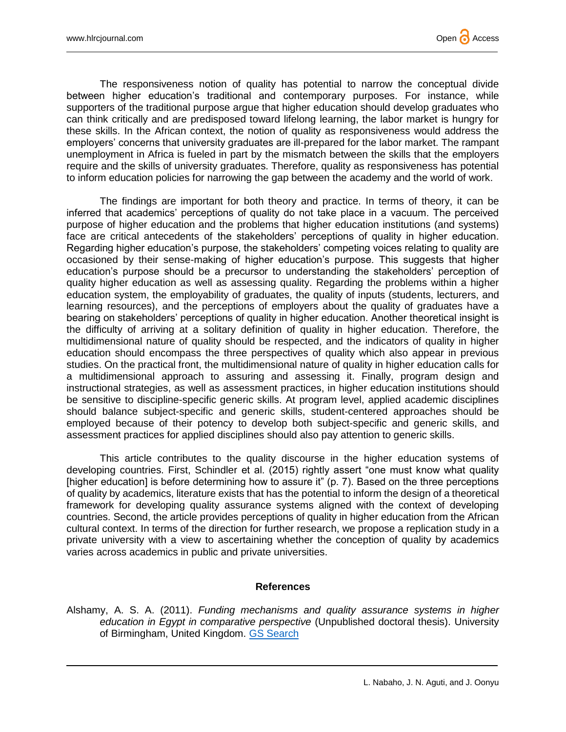

The responsiveness notion of quality has potential to narrow the conceptual divide between higher education's traditional and contemporary purposes. For instance, while supporters of the traditional purpose argue that higher education should develop graduates who can think critically and are predisposed toward lifelong learning, the labor market is hungry for these skills. In the African context, the notion of quality as responsiveness would address the employers' concerns that university graduates are ill-prepared for the labor market. The rampant unemployment in Africa is fueled in part by the mismatch between the skills that the employers require and the skills of university graduates. Therefore, quality as responsiveness has potential to inform education policies for narrowing the gap between the academy and the world of work.

The findings are important for both theory and practice. In terms of theory, it can be inferred that academics' perceptions of quality do not take place in a vacuum. The perceived purpose of higher education and the problems that higher education institutions (and systems) face are critical antecedents of the stakeholders' perceptions of quality in higher education. Regarding higher education's purpose, the stakeholders' competing voices relating to quality are occasioned by their sense-making of higher education's purpose. This suggests that higher education's purpose should be a precursor to understanding the stakeholders' perception of quality higher education as well as assessing quality. Regarding the problems within a higher education system, the employability of graduates, the quality of inputs (students, lecturers, and learning resources), and the perceptions of employers about the quality of graduates have a bearing on stakeholders' perceptions of quality in higher education. Another theoretical insight is the difficulty of arriving at a solitary definition of quality in higher education. Therefore, the multidimensional nature of quality should be respected, and the indicators of quality in higher education should encompass the three perspectives of quality which also appear in previous studies. On the practical front, the multidimensional nature of quality in higher education calls for a multidimensional approach to assuring and assessing it. Finally, program design and instructional strategies, as well as assessment practices, in higher education institutions should be sensitive to discipline-specific generic skills. At program level, applied academic disciplines should balance subject-specific and generic skills, student-centered approaches should be employed because of their potency to develop both subject-specific and generic skills, and assessment practices for applied disciplines should also pay attention to generic skills.

This article contributes to the quality discourse in the higher education systems of developing countries. First, Schindler et al. (2015) rightly assert "one must know what quality [higher education] is before determining how to assure it" (p. 7). Based on the three perceptions of quality by academics, literature exists that has the potential to inform the design of a theoretical framework for developing quality assurance systems aligned with the context of developing countries. Second, the article provides perceptions of quality in higher education from the African cultural context. In terms of the direction for further research, we propose a replication study in a private university with a view to ascertaining whether the conception of quality by academics varies across academics in public and private universities.

#### **References**

Alshamy, A. S. A. (2011). *Funding mechanisms and quality assurance systems in higher education in Egypt in comparative perspective* (Unpublished doctoral thesis). University of Birmingham, United Kingdom. [GS Search](http://scholar.google.com/scholar?q=%22Funding+mechanisms+and+quality+assurance+systems+in+higher+education+in+Egypt+in+comparative+perspective%22&hl=en&lr=&btnG=Search)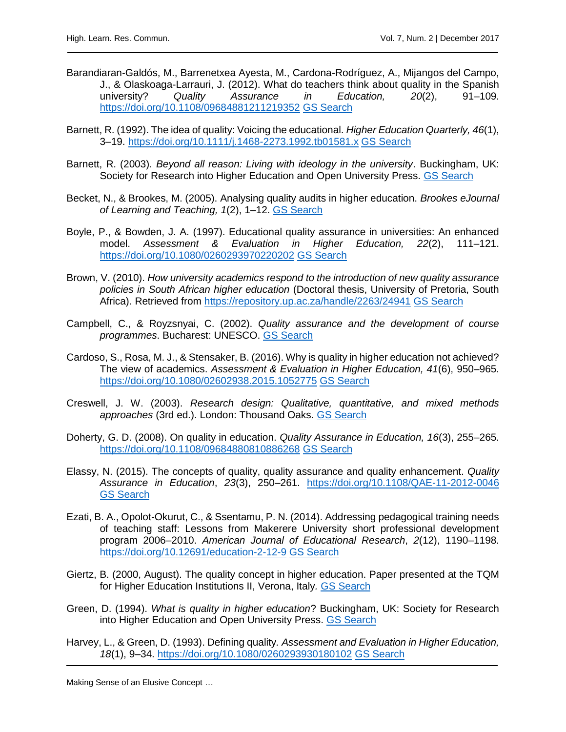- Barandiaran‐Galdós, M., Barrenetxea Ayesta, M., Cardona-Rodríguez, A., Mijangos del Campo, J., & Olaskoaga-Larrauri, J. (2012). What do teachers think about quality in the Spanish university? *Quality Assurance in Education, 20*(2), 91–109. <https://doi.org/10.1108/09684881211219352> [GS Search](http://scholar.google.com/scholar?q=%22What+do+teachers+think+about+quality+in+the+Spanish+university?+Quality+Assurance+in+Education%22&hl=en&lr=&btnG=Search)
- Barnett, R. (1992). The idea of quality: Voicing the educational. *Higher Education Quarterly, 46*(1), 3–19.<https://doi.org/10.1111/j.1468-2273.1992.tb01581.x> [GS Search](http://scholar.google.com/scholar?q=%22The+idea+of+quality:+Voicing+the+educational%22&hl=en&lr=&btnG=Search)
- Barnett, R. (2003). *Beyond all reason: Living with ideology in the university*. Buckingham, UK: Society for Research into Higher Education and Open University Press. [GS Search](http://scholar.google.com/scholar?q=%22Beyond+all+reason:+Living+with+ideology+in+the+university%22&hl=en&lr=&btnG=Search)
- Becket, N., & Brookes, M. (2005). Analysing quality audits in higher education. *Brookes eJournal of Learning and Teaching, 1*(2), 1–12. [GS Search](http://scholar.google.com/scholar?q=%22Analysing+quality+audits+in+higher+education%22&hl=en&lr=&btnG=Search)
- Boyle, P., & Bowden, J. A. (1997). Educational quality assurance in universities: An enhanced model. *Assessment & Evaluation in Higher Education, 22*(2), 111–121. <https://doi.org/10.1080/0260293970220202> [GS Search](http://scholar.google.com/scholar?q=%22Educational+quality+assurance+in+universities:+An+enhanced+model%22&hl=en&lr=&btnG=Search)
- Brown, V. (2010). *How university academics respond to the introduction of new quality assurance policies in South African higher education* (Doctoral thesis, University of Pretoria, South Africa). Retrieved from<https://repository.up.ac.za/handle/2263/24941> [GS Search](http://scholar.google.com/scholar?q=%22How+university+academics+respond+to+the+introduction+of+new+quality+assurance+policies+in+South+African+higher+education%22&hl=en&lr=&btnG=Search)
- Campbell, C., & Royzsnyai, C. (2002). *Quality assurance and the development of course programmes*. Bucharest: UNESCO. [GS Search](http://scholar.google.com/scholar?q=%22Quality+assurance+and+the+development+of+course+programmes%22&hl=en&lr=&btnG=Search)
- Cardoso, S., Rosa, M. J., & Stensaker, B. (2016). Why is quality in higher education not achieved? The view of academics. *Assessment & Evaluation in Higher Education, 41*(6), 950–965. <https://doi.org/10.1080/02602938.2015.1052775> [GS Search](http://scholar.google.com/scholar?q=%22Why+is+quality+in+higher+education+not+achieved?+The+view+of+academics%22&hl=en&lr=&btnG=Search)
- Creswell, J. W. (2003). *Research design: Qualitative, quantitative, and mixed methods approaches* (3rd ed.). London: Thousand Oaks. [GS Search](http://scholar.google.com/scholar?q=%22Creswell+Research+design:+Qualitative,+quantitative,+and+mixed+methods+approaches%22&hl=en&lr=&btnG=Search)
- Doherty, G. D. (2008). On quality in education. *Quality Assurance in Education, 16*(3), 255–265. <https://doi.org/10.1108/09684880810886268> [GS Search](http://scholar.google.com/scholar?q=%22On+quality+in+education%22&hl=en&lr=&btnG=Search)
- Elassy, N. (2015). The concepts of quality, quality assurance and quality enhancement. *Quality Assurance in Education*, *23*(3), 250–261. <https://doi.org/10.1108/QAE-11-2012-0046> GS [Search](http://scholar.google.com/scholar?q=%22The+concepts+of+quality,+quality+assurance+and+quality+enhancement%22&hl=en&lr=&btnG=Search)
- Ezati, B. A., Opolot-Okurut, C., & Ssentamu, P. N. (2014). Addressing pedagogical training needs of teaching staff: Lessons from Makerere University short professional development program 2006–2010. *American Journal of Educational Research*, *2*(12), 1190–1198. <https://doi.org/10.12691/education-2-12-9> [GS Search](http://scholar.google.com/scholar?q=%22Addressing+pedagogical+training+needs+of+teaching+staff:+Lessons+from+Makerere+University+short+professional+development+program+2006–2010%22&hl=en&lr=&btnG=Search)
- Giertz, B. (2000, August). The quality concept in higher education. Paper presented at the TQM for Higher Education Institutions II, Verona, Italy*.* [GS Search](http://scholar.google.com/scholar?q=%22The+quality+concept+in+higher+education%22&hl=en&lr=&btnG=Search)
- Green, D. (1994). *What is quality in higher education*? Buckingham, UK: Society for Research into Higher Education and Open University Press. [GS Search](http://scholar.google.com/scholar?q=%22What+is+quality+in+higher+education?%22&hl=en&lr=&btnG=Search)
- Harvey, L., & Green, D. (1993). Defining quality*. Assessment and Evaluation in Higher Education, 18*(1), 9–34.<https://doi.org/10.1080/0260293930180102> [GS Search](http://scholar.google.com/scholar?q=%22Defining+quality%22&hl=en&lr=&btnG=Search)

Making Sense of an Elusive Concept …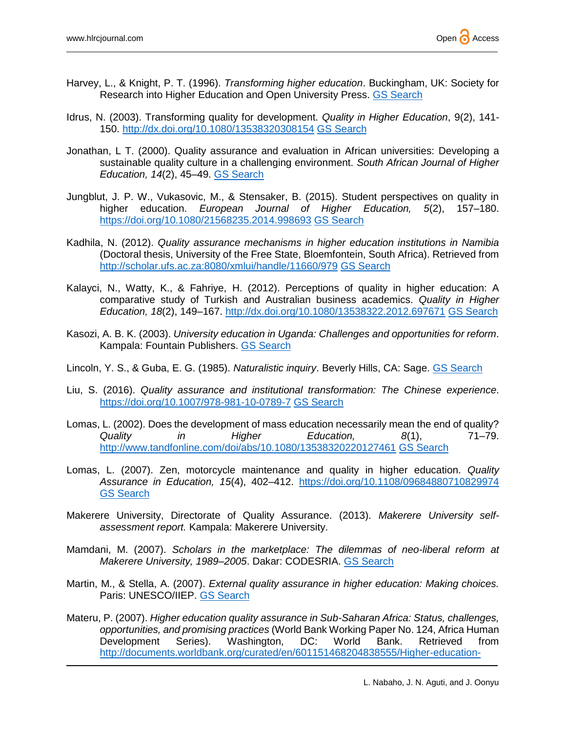- Harvey, L., & Knight, P. T. (1996). *Transforming higher education*. Buckingham, UK: Society for Research into Higher Education and Open University Press. [GS Search](http://scholar.google.com/scholar?q=%22Transforming+higher+education%22&hl=en&lr=&btnG=Search)
- Idrus, N. (2003). Transforming quality for development. *Quality in Higher Education*, 9(2), 141- 150.<http://dx.doi.org/10.1080/13538320308154> [GS Search](http://scholar.google.com/scholar?q=%22Transforming+quality+for+development%22&hl=en&lr=&btnG=Search)
- Jonathan, L T. (2000). Quality assurance and evaluation in African universities: Developing a sustainable quality culture in a challenging environment. *South African Journal of Higher Education, 14*(2), 45–49. [GS Search](http://scholar.google.com/scholar?q=%22Quality+assurance+and+evaluation+in+African+universities:+Developing+a+sustainable+quality+culture+in+a+challenging+environment%22&hl=en&lr=&btnG=Search)
- Jungblut, J. P. W., Vukasovic, M., & Stensaker, B. (2015). Student perspectives on quality in higher education. *European Journal of Higher Education, 5*(2), 157–180. <https://doi.org/10.1080/21568235.2014.998693> [GS Search](http://scholar.google.com/scholar?q=%22Student+perspectives+on+quality+in+higher+education%22&hl=en&lr=&btnG=Search)
- Kadhila, N. (2012). *Quality assurance mechanisms in higher education institutions in Namibia* (Doctoral thesis, University of the Free State, Bloemfontein, South Africa). Retrieved from <http://scholar.ufs.ac.za:8080/xmlui/handle/11660/979> [GS Search](http://scholar.google.com/scholar?q=%22Quality+assurance+mechanisms+in+higher+education+institutions+in+Namibia%22&hl=en&lr=&btnG=Search)
- Kalayci, N., Watty, K., & Fahriye, H. (2012). Perceptions of quality in higher education: A comparative study of Turkish and Australian business academics. *Quality in Higher Education, 18*(2), 149–167.<http://dx.doi.org/10.1080/13538322.2012.697671> [GS Search](http://scholar.google.com/scholar?q=%22Perceptions+of+quality+in+higher+education:+A+comparative+study+of+Turkish+and+Australian+business+academics%22&hl=en&lr=&btnG=Search)
- Kasozi, A. B. K. (2003). *University education in Uganda: Challenges and opportunities for reform*. Kampala: Fountain Publishers. [GS Search](http://scholar.google.com/scholar?q=%22University+education+in+Uganda:+Challenges+and+opportunities+for+reform%22&hl=en&lr=&btnG=Search)
- Lincoln, Y. S., & Guba, E. G. (1985). *Naturalistic inquiry*. Beverly Hills, CA: Sage. [GS Search](http://scholar.google.com/scholar?q=%22Naturalistic+inquiry%22&hl=en&lr=&btnG=Search)
- Liu, S. (2016). *Quality assurance and institutional transformation: The Chinese experience*. <https://doi.org/10.1007/978-981-10-0789-7> [GS Search](http://scholar.google.com/scholar?q=%22Quality+assurance+and+institutional+transformation:+The+Chinese+experience%22&hl=en&lr=&btnG=Search)
- Lomas, L. (2002). Does the development of mass education necessarily mean the end of quality? *Quality in Higher Education, 8*(1), 71–79. <http://www.tandfonline.com/doi/abs/10.1080/13538320220127461> [GS Search](http://scholar.google.com/scholar?q=%22Does+the+development+of+mass+education+necessarily+mean+the+end+of+quality?%22&hl=en&lr=&btnG=Search)
- Lomas, L. (2007). Zen, motorcycle maintenance and quality in higher education. *Quality Assurance in Education, 15*(4), 402–412.<https://doi.org/10.1108/09684880710829974> [GS Search](http://scholar.google.com/scholar?q=%22Zen,+motorcycle+maintenance+and+quality+in+higher+education%22&hl=en&lr=&btnG=Search)
- Makerere University, Directorate of Quality Assurance. (2013). *Makerere University selfassessment report.* Kampala: Makerere University.
- Mamdani, M. (2007). *Scholars in the marketplace: The dilemmas of neo-liberal reform at Makerere University, 1989–2005*. Dakar: CODESRIA. [GS Search](http://scholar.google.com/scholar?q=%22Scholars+in+the+marketplace:+The+dilemmas+of+neo-liberal+reform+at+Makerere+University,+1989–2005%22&hl=en&lr=&btnG=Search)
- Martin, M., & Stella, A. (2007). *External quality assurance in higher education: Making choices.*  Paris: UNESCO/IIEP. [GS Search](http://scholar.google.com/scholar?q=%22External+quality+assurance+in+higher+education:+Making+choices%22&hl=en&lr=&btnG=Search)
- Materu, P. (2007). *Higher education quality assurance in Sub-Saharan Africa: Status, challenges, opportunities, and promising practices* (World Bank Working Paper No. 124, Africa Human Development Series). Washington, DC: World Bank. Retrieved from [http://documents.worldbank.org/curated/en/601151468204838555/Higher-education-](http://documents.worldbank.org/curated/en/601151468204838555/Higher-education-quality-assurance-in-Sub-Saharan-Africa-status-challenges-opportunities-and-promising-practices)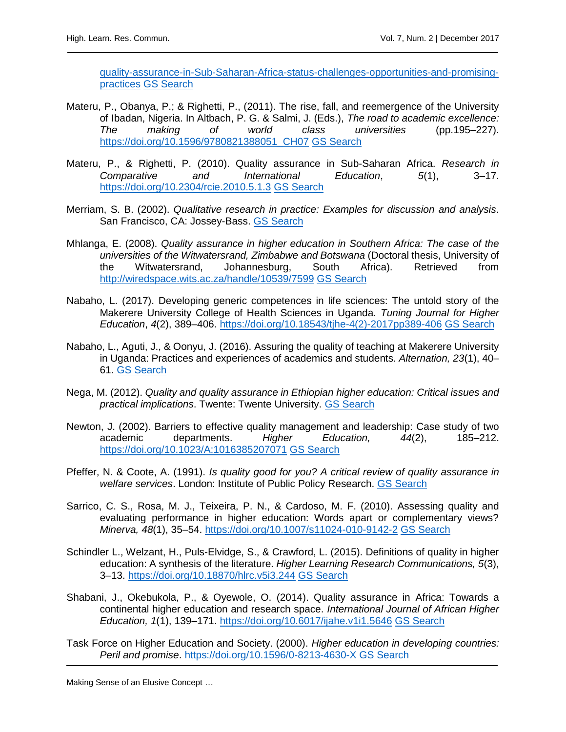[quality-assurance-in-Sub-Saharan-Africa-status-challenges-opportunities-and-promising](http://documents.worldbank.org/curated/en/601151468204838555/Higher-education-quality-assurance-in-Sub-Saharan-Africa-status-challenges-opportunities-and-promising-practices)[practices](http://documents.worldbank.org/curated/en/601151468204838555/Higher-education-quality-assurance-in-Sub-Saharan-Africa-status-challenges-opportunities-and-promising-practices) [GS Search](http://scholar.google.com/scholar?q=%22Higher+education+quality+assurance+in+Sub-Saharan+Africa:+Status,+challenges,+opportunities,+and+promising+practices%22&hl=en&lr=&btnG=Search)

- Materu, P., Obanya, P.; & Righetti, P., (2011). The rise, fall, and reemergence of the University of Ibadan, Nigeria. In Altbach, P. G. & Salmi, J. (Eds.), *The road to academic excellence: The making of world class universities* (pp.195–227). [https://doi.org/10.1596/9780821388051\\_CH07](https://doi.org/10.1596/9780821388051_CH07) [GS Search](http://scholar.google.com/scholar?q=%22The+rise,+fall,+and+reemergence+of+the+University+of+Ibadan,+Nigeria%22&hl=en&lr=&btnG=Search)
- Materu, P., & Righetti, P. (2010). Quality assurance in Sub-Saharan Africa. *Research in Comparative and International Education*, *5*(1), 3–17. <https://doi.org/10.2304/rcie.2010.5.1.3> [GS Search](http://scholar.google.com/scholar?q=%22Quality+assurance+in+Sub-Saharan+Africa%22&hl=en&lr=&btnG=Search)
- Merriam, S. B. (2002). *Qualitative research in practice: Examples for discussion and analysis*. San Francisco, CA: Jossey-Bass. [GS Search](http://scholar.google.com/scholar?q=%22Qualitative+research+in+practice:+Examples+for+discussion+and+analysis%22&hl=en&lr=&btnG=Search)
- Mhlanga, E. (2008). *Quality assurance in higher education in Southern Africa: The case of the universities of the Witwatersrand, Zimbabwe and Botswana* (Doctoral thesis, University of the Witwatersrand, Johannesburg, South Africa). Retrieved from <http://wiredspace.wits.ac.za/handle/10539/7599> [GS Search](http://scholar.google.com/scholar?q=%22Quality+assurance+in+higher+education+in+Southern+Africa:+The+case+of+the+universities+of+the+Witwatersrand,+Zimbabwe+and+Botswana%22&hl=en&lr=&btnG=Search)
- Nabaho, L. (2017). Developing generic competences in life sciences: The untold story of the Makerere University College of Health Sciences in Uganda. *Tuning Journal for Higher Education*, *4*(2), 389–406. [https://doi.org/10.18543/tjhe-4\(2\)-2017pp389-406](https://doi.org/10.18543/tjhe-4(2)-2017pp389-406) [GS Search](http://scholar.google.com/scholar?q=%22Developing+generic+competences+in+life+sciences:+The+untold+story+of+the+Makerere+University+College+of+Health+Sciences+in+Uganda%22&hl=en&lr=&btnG=Search)
- Nabaho, L., Aguti, J., & Oonyu, J. (2016). Assuring the quality of teaching at Makerere University in Uganda: Practices and experiences of academics and students. *Alternation, 23*(1), 40– 61. [GS Search](http://scholar.google.com/scholar?q=%22Assuring+the+quality+of+teaching+at+Makerere+University+in+Uganda:+Practices+and+experiences+of+academics+and+students%22&hl=en&lr=&btnG=Search)
- Nega, M. (2012). *Quality and quality assurance in Ethiopian higher education: Critical issues and practical implications*. Twente: Twente University. [GS Search](http://scholar.google.com/scholar?q=%22Quality+and+quality+assurance+in+Ethiopian+higher+education:+Critical+issues+and+practical+implications%22&hl=en&lr=&btnG=Search)
- Newton, J. (2002). Barriers to effective quality management and leadership: Case study of two academic departments. *Higher Education, 44*(2), 185–212. <https://doi.org/10.1023/A:1016385207071> [GS Search](http://scholar.google.com/scholar?q=%22Barriers+to+effective+quality+management+and+leadership:+Case+study+of+two+academic+departments%22&hl=en&lr=&btnG=Search)
- Pfeffer, N. & Coote, A. (1991). *Is quality good for you? A critical review of quality assurance in welfare services*. London: Institute of Public Policy Research. [GS Search](http://scholar.google.com/scholar?q=%22Is+quality+good+for+you?+A+critical+review+of+quality+assurance+in+welfare+services%22&hl=en&lr=&btnG=Search)
- Sarrico, C. S., Rosa, M. J., Teixeira, P. N., & Cardoso, M. F. (2010). Assessing quality and evaluating performance in higher education: Words apart or complementary views? *Minerva, 48*(1), 35–54.<https://doi.org/10.1007/s11024-010-9142-2> [GS Search](http://scholar.google.com/scholar?q=%22Assessing+quality+and+evaluating+performance+in+higher+education:+Words+apart+or+complementary+views?%22&hl=en&lr=&btnG=Search)
- Schindler L., Welzant, H., Puls-Elvidge, S., & Crawford, L. (2015). Definitions of quality in higher education: A synthesis of the literature. *Higher Learning Research Communications, 5*(3), 3–13.<https://doi.org/10.18870/hlrc.v5i3.244> [GS Search](http://scholar.google.com/scholar?q=%22Definitions+of+quality+in+higher+education:+A+synthesis+of+the+literature%22&hl=en&lr=&btnG=Search)
- Shabani, J., Okebukola, P., & Oyewole, O. (2014). Quality assurance in Africa: Towards a continental higher education and research space. *International Journal of African Higher Education, 1*(1), 139–171.<https://doi.org/10.6017/ijahe.v1i1.5646> [GS Search](http://scholar.google.com/scholar?q=%22Quality+assurance+in+Africa:+Towards+a+continental+higher+education+and+research+space%22&hl=en&lr=&btnG=Search)
- Task Force on Higher Education and Society. (2000). *Higher education in developing countries: Peril and promise*.<https://doi.org/10.1596/0-8213-4630-X> [GS Search](http://scholar.google.com/scholar?q=%22Higher+education+in+developing+countries:+Peril+and+promise%22&hl=en&lr=&btnG=Search)

Making Sense of an Elusive Concept …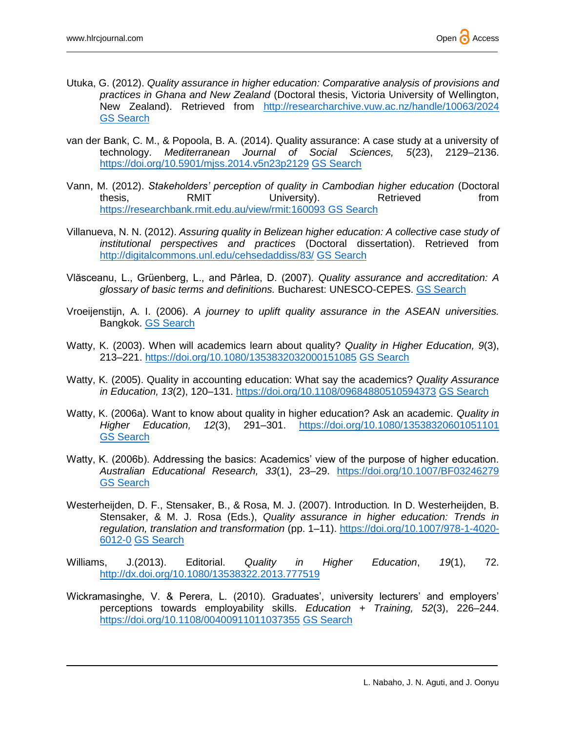- Utuka, G. (2012). *Quality assurance in higher education: Comparative analysis of provisions and practices in Ghana and New Zealand* (Doctoral thesis, Victoria University of Wellington, New Zealand). Retrieved from <http://researcharchive.vuw.ac.nz/handle/10063/2024> GS [Search](http://scholar.google.com/scholar?q=%22Quality+assurance+in+higher+education:+Comparative+analysis+of+provisions+and+practices+in+Ghana+and+New+Zealand%22&hl=en&lr=&btnG=Search)
- van der Bank, C. M., & Popoola, B. A. (2014). Quality assurance: A case study at a university of technology. *Mediterranean Journal of Social Sciences, 5*(23), 2129–2136. <https://doi.org/10.5901/mjss.2014.v5n23p2129> [GS Search](http://scholar.google.com/scholar?q=%22Quality+assurance:+A+case+study+at+a+university+of+technology%22&hl=en&lr=&btnG=Search)
- Vann, M. (2012). *Stakeholders' perception of quality in Cambodian higher education* (Doctoral thesis, **RMIT** University). Retrieved from <https://researchbank.rmit.edu.au/view/rmit:160093> [GS Search](https://researchbank.rmit.edu.au/view/rmit:160093)
- Villanueva, N. N. (2012). *Assuring quality in Belizean higher education: A collective case study of institutional perspectives and practices* (Doctoral dissertation). Retrieved from <http://digitalcommons.unl.edu/cehsedaddiss/83/> [GS Search](http://scholar.google.com/scholar?q=%22Assuring+quality+in+Belizean+higher+education:+A+collective+case+study+of+institutional+perspectives+and+practices%22&hl=en&lr=&btnG=Search)
- Vlăsceanu, L., Grüenberg, L., and Pârlea, D. (2007). *Quality assurance and accreditation: A glossary of basic terms and definitions.* Bucharest: UNESCO-CEPES. [GS Search](http://scholar.google.com/scholar?q=%22Quality+assurance+and+accreditation:+A+glossary+of+basic+terms+and+definitions%22&hl=en&lr=&btnG=Search)
- Vroeijenstijn, A. I. (2006). *A journey to uplift quality assurance in the ASEAN universities.* Bangkok. [GS Search](http://scholar.google.com/scholar?q=%22A+journey+to+uplift+quality+assurance+in+the+ASEAN+universities%22&hl=en&lr=&btnG=Search)
- Watty, K. (2003). When will academics learn about quality? *Quality in Higher Education, 9*(3), 213–221.<https://doi.org/10.1080/1353832032000151085> [GS Search](http://scholar.google.com/scholar?q=%22When+will+academics+learn+about+quality?%22&hl=en&lr=&btnG=Search)
- Watty, K. (2005). Quality in accounting education: What say the academics? *Quality Assurance in Education, 13*(2), 120–131.<https://doi.org/10.1108/09684880510594373> [GS Search](http://scholar.google.com/scholar?q=%22Quality+in+accounting+education:+What+say+the+academics?%22&hl=en&lr=&btnG=Search)
- Watty, K. (2006a). Want to know about quality in higher education? Ask an academic. *Quality in Higher Education, 12*(3), 291–301. <https://doi.org/10.1080/13538320601051101> GS [Search](http://scholar.google.com/scholar?q=%22Want+to+know+about+quality+in+higher+education?+Ask+an+academic%22&hl=en&lr=&btnG=Search)
- Watty, K. (2006b). Addressing the basics: Academics' view of the purpose of higher education. *Australian Educational Research, 33*(1), 23–29. <https://doi.org/10.1007/BF03246279> GS [Search](http://scholar.google.com/scholar?q=%22Addressing+the+basics:+Academics’+view+of+the+purpose+of+higher+education%22&hl=en&lr=&btnG=Search)
- Westerheijden, D. F., Stensaker, B., & Rosa, M. J. (2007). Introduction*.* In D. Westerheijden, B. Stensaker, & M. J. Rosa (Eds.), *Quality assurance in higher education: Trends in regulation, translation and transformation* (pp. 1–11). [https://doi.org/10.1007/978-1-4020-](https://doi.org/10.1007/978-1-4020-6012-0) [6012-0](https://doi.org/10.1007/978-1-4020-6012-0) [GS Search](http://scholar.google.com/scholar?q=%22Quality+assurance+in+higher+education:+Trends+in+regulation,+translation+and+transformation%22&hl=en&lr=&btnG=Search)
- Williams, J.(2013). Editorial. *Quality in Higher Education*, *19*(1), 72. <http://dx.doi.org/10.1080/13538322.2013.777519>
- Wickramasinghe, V. & Perera, L. (2010). Graduates', university lecturers' and employers' perceptions towards employability skills. *Education + Training, 52*(3), 226–244. <https://doi.org/10.1108/00400911011037355> [GS Search](http://scholar.google.com/scholar?q=%22Graduates’,+university+lecturers’+and+employers’+perceptions+towards+employability+skills%22&hl=en&lr=&btnG=Search)